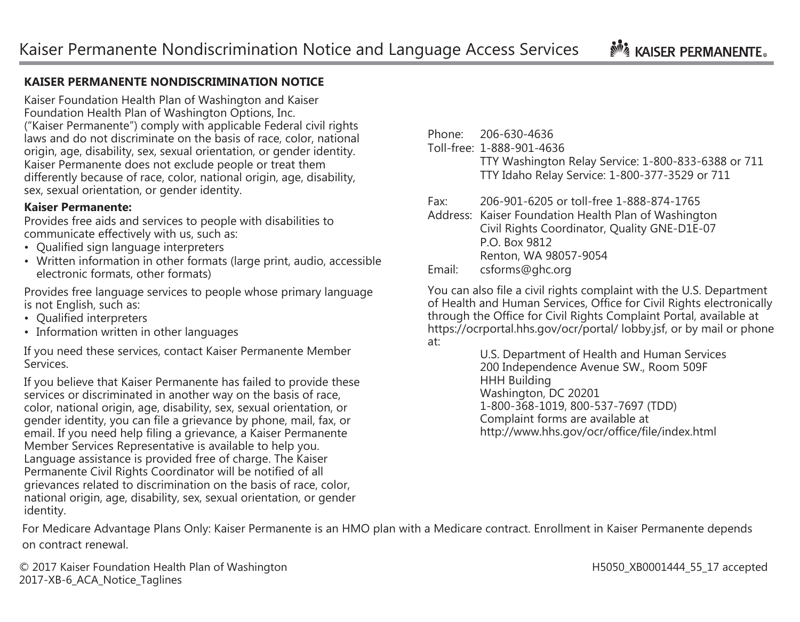## **No. 4 KAISER PERMANENTE.**

## **KAISER PERMANENTE NONDISCRIMINATION NOTICE**

Kaiser Foundation Health Plan of Washington and Kaiser Foundation Health Plan of Washington Options, Inc. ("Kaiser Permanente") comply with applicable Federal civil rights laws and do not discriminate on the basis of race, color, national origin, age, disability, sex, sexual orientation, or gender identity. Kaiser Permanente does not exclude people or treat them differently because of race, color, national origin, age, disability, sex, sexual orientation, or gender identity.

## **Kaiser Permanente:**

Provides free aids and services to people with disabilities to communicate effectively with us, such as:

- Qualified sign language interpreters
- Written information in other formats (large print, audio, accessible electronic formats, other formats)

Provides free language services to people whose primary language is not English, such as:

- Qualified interpreters
- Information written in other languages

If you need these services, contact Kaiser Permanente Member Services.

If you believe that Kaiser Permanente has failed to provide these services or discriminated in another way on the basis of race, color, national origin, age, disability, sex, sexual orientation, or gender identity, you can file a grievance by phone, mail, fax, or email. If you need help filing a grievance, a Kaiser Permanente Member Services Representative is available to help you. Language assistance is provided free of charge. The Kaiser Permanente Civil Rights Coordinator will be notified of all grievances related to discrimination on the basis of race, color, national origin, age, disability, sex, sexual orientation, or gender identity.

| Phone:            | 206-630-4636   |
|-------------------|----------------|
| $T = 11$ $C = 12$ | 1.000.001.1000 |

Toll-free: 1-888-901-4636 TTY Washington Relay Service: 1-800-833-6388 or 711 TTY Idaho Relay Service: 1-800-377-3529 or 711

Fax: 206-901-6205 or toll-free 1-888-874-1765

Address: Kaiser Foundation Health Plan of Washington Civil Rights Coordinator, Quality GNE-D1E-07 P.O. Box 9812 Renton, WA 98057-9054 Email: [csforms@ghc.org](mailto:csforms@ghc.org)

You can also file a civil rights complaint with the U.S. Department of Health and Human Services, Office for Civil Rights electronically through the Office for Civil Rights Complaint Portal, available at https://ocrportal.hhs.gov/ocr/portal/ lobby.jsf, or by mail or phone at:

U.S. Department of Health and Human Services 200 Independence Avenue SW., Room 509F HHH Building Washington, DC 20201 1-800-368-1019, 800-537-7697 (TDD) Complaint forms are available at <http://www.hhs.gov/ocr/office/file/index.html>

For Medicare Advantage Plans Only: Kaiser Permanente is an HMO plan with a Medicare contract. Enrollment in Kaiser Permanente depends on contract renewal.

© 2017 Kaiser Foundation Health Plan of Washington H5050 H5050 XB0001444 55 17 accepted 2017-XB-6\_ACA\_Notice\_Taglines